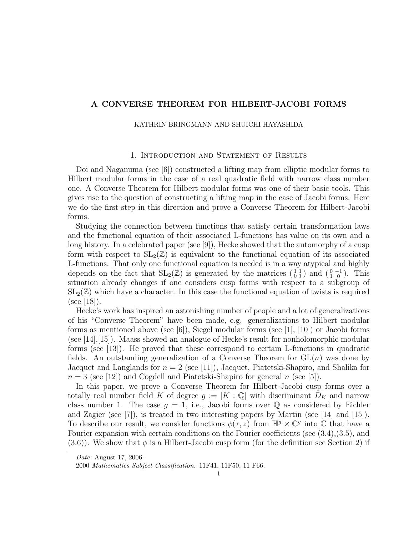# A CONVERSE THEOREM FOR HILBERT-JACOBI FORMS

#### KATHRIN BRINGMANN AND SHUICHI HAYASHIDA

# 1. Introduction and Statement of Results

Doi and Naganuma (see [6]) constructed a lifting map from elliptic modular forms to Hilbert modular forms in the case of a real quadratic field with narrow class number one. A Converse Theorem for Hilbert modular forms was one of their basic tools. This gives rise to the question of constructing a lifting map in the case of Jacobi forms. Here we do the first step in this direction and prove a Converse Theorem for Hilbert-Jacobi forms.

Studying the connection between functions that satisfy certain transformation laws and the functional equation of their associated L-functions has value on its own and a long history. In a celebrated paper (see [9]), Hecke showed that the automorphy of a cusp form with respect to  $SL_2(\mathbb{Z})$  is equivalent to the functional equation of its associated L-functions. That only one functional equation is needed is in a way atypical and highly depends on the fact that  $SL_2(\mathbb{Z})$  is generated by the matrices  $\begin{pmatrix} 1 & 1 \\ 0 & 1 \end{pmatrix}$  and  $\begin{pmatrix} 0 & -1 \\ 1 & 0 \end{pmatrix}$ . This situation already changes if one considers cusp forms with respect to a subgroup of  $SL_2(\mathbb{Z})$  which have a character. In this case the functional equation of twists is required  $(see |18|).$ 

Hecke's work has inspired an astonishing number of people and a lot of generalizations of his "Converse Theorem" have been made, e.g. generalizations to Hilbert modular forms as mentioned above (see [6]), Siegel modular forms (see [1], [10]) or Jacobi forms (see [14],[15]). Maass showed an analogue of Hecke's result for nonholomorphic modular forms (see [13]). He proved that these correspond to certain L-functions in quadratic fields. An outstanding generalization of a Converse Theorem for  $GL(n)$  was done by Jacquet and Langlands for  $n = 2$  (see [11]), Jacquet, Piatetski-Shapiro, and Shalika for  $n = 3$  (see [12]) and Cogdell and Piatetski-Shapiro for general n (see [5]).

In this paper, we prove a Converse Theorem for Hilbert-Jacobi cusp forms over a totally real number field K of degree  $g := [K : \mathbb{Q}]$  with discriminant  $D_K$  and narrow class number 1. The case  $g = 1$ , i.e., Jacobi forms over Q as considered by Eichler and Zagier (see [7]), is treated in two interesting papers by Martin (see [14] and [15]). To describe our result, we consider functions  $\phi(\tau, z)$  from  $\mathbb{H}^g \times \mathbb{C}^g$  into  $\mathbb C$  that have a Fourier expansion with certain conditions on the Fourier coefficients (see (3.4),(3.5), and  $(3.6)$ ). We show that  $\phi$  is a Hilbert-Jacobi cusp form (for the definition see Section 2) if

Date: August 17, 2006.

<sup>2000</sup> Mathematics Subject Classification. 11F41, 11F50, 11 F66.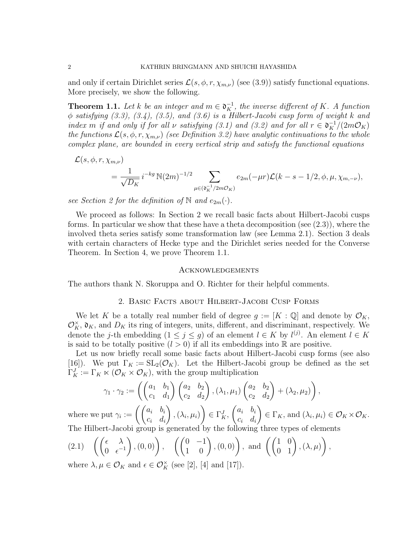and only if certain Dirichlet series  $\mathcal{L}(s, \phi, r, \chi_{m,\nu})$  (see (3.9)) satisfy functional equations. More precisely, we show the following.

**Theorem 1.1.** Let k be an integer and  $m \in \mathfrak{d}_K^{-1}$ , the inverse different of K. A function  $\phi$  satisfying (3.3), (3.4), (3.5), and (3.6) is a Hilbert-Jacobi cusp form of weight k and index m if and only if for all v satisfying (3.1) and (3.2) and for all  $r \in \mathfrak{d}_K^{-1}/(2m\mathcal{O}_K)$ the functions  $\mathcal{L}(s, \phi, r, \chi_{m,\nu})$  (see Definition 3.2) have analytic continuations to the whole complex plane, are bounded in every vertical strip and satisfy the functional equations

$$
\mathcal{L}(s, \phi, r, \chi_{m,\nu}) = \frac{1}{\sqrt{D_K}} i^{-kg} \mathbb{N}(2m)^{-1/2} \sum_{\mu \in (\mathfrak{d}_K^{-1}/2m\mathcal{O}_K)} e_{2m}(-\mu r) \mathcal{L}(k - s - 1/2, \phi, \mu, \chi_{m,-\nu}),
$$

see Section 2 for the definition of N and  $e_{2m}(\cdot)$ .

We proceed as follows: In Section 2 we recall basic facts about Hilbert-Jacobi cusps forms. In particular we show that these have a theta decomposition (see (2.3)), where the involved theta series satisfy some transformation law (see Lemma 2.1). Section 3 deals with certain characters of Hecke type and the Dirichlet series needed for the Converse Theorem. In Section 4, we prove Theorem 1.1.

#### Acknowledgements

The authors thank N. Skoruppa and O. Richter for their helpful comments.

### 2. Basic Facts about Hilbert-Jacobi Cusp Forms

We let K be a totally real number field of degree  $g := [K : \mathbb{Q}]$  and denote by  $\mathcal{O}_K$ ,  $\mathcal{O}_K^{\times}$ ,  $\mathfrak{d}_K$ , and  $D_K$  its ring of integers, units, different, and discriminant, respectively. We denote the *j*-th embedding  $(1 \leq j \leq g)$  of an element  $l \in K$  by  $l^{(j)}$ . An element  $l \in K$ is said to be totally positive  $(l > 0)$  if all its embeddings into R are positive.

Let us now briefly recall some basic facts about Hilbert-Jacobi cusp forms (see also [16]). We put  $\Gamma_K := SL_2(\mathcal{O}_K)$ . Let the Hilbert-Jacobi group be defined as the set  $\Gamma_K^J := \Gamma_K \times (\mathcal{O}_K \times \mathcal{O}_K)$ , with the group multiplication

$$
\gamma_1 \cdot \gamma_2 := \left( \begin{pmatrix} a_1 & b_1 \\ c_1 & d_1 \end{pmatrix} \begin{pmatrix} a_2 & b_2 \\ c_2 & d_2 \end{pmatrix}, (\lambda_1, \mu_1) \begin{pmatrix} a_2 & b_2 \\ c_2 & d_2 \end{pmatrix} + (\lambda_2, \mu_2) \right),
$$

where we put  $\gamma_i := \left( \begin{pmatrix} a_i & b_i \ c_i & d_i \end{pmatrix} \right)$  $\setminus$  $,(\lambda_{i},\mu_{i})$  $\setminus$  $\in \Gamma_K^J$ ,  $\int a_i \quad b_i$  $c_i$  d<sub>i</sub>  $\setminus$  $\in \Gamma_K$ , and  $(\lambda_i, \mu_i) \in \mathcal{O}_K \times \mathcal{O}_K$ . The Hilbert-Jacobi group is generated by the following three types of elements

(2.1) 
$$
\left( \begin{pmatrix} \epsilon & \lambda \\ 0 & \epsilon^{-1} \end{pmatrix}, (0,0) \right), \left( \begin{pmatrix} 0 & -1 \\ 1 & 0 \end{pmatrix}, (0,0) \right), \text{ and } \left( \begin{pmatrix} 1 & 0 \\ 0 & 1 \end{pmatrix}, (\lambda, \mu) \right),
$$
  
where  $\lambda, \mu \in \mathcal{O}_{\mathbb{R}}$  and  $\epsilon \in \mathcal{O}^{\times}$  (see [3], [4] and [17])

where  $\lambda, \mu \in \mathcal{O}_K$  and  $\epsilon \in \mathcal{O}_K^{\times}$  (see [2], [4] and [17]).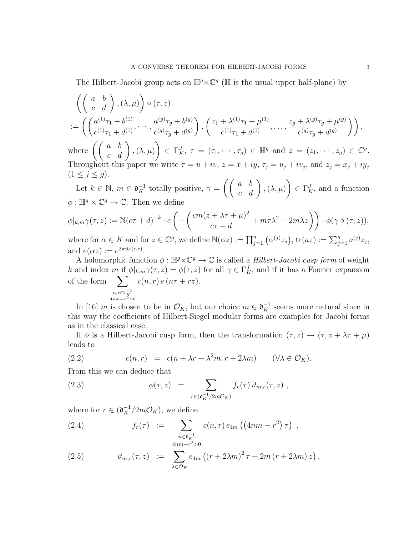The Hilbert-Jacobi group acts on  $\mathbb{H}^g \times \mathbb{C}^g$  ( $\mathbb H$  is the usual upper half-plane) by

$$
\begin{split}\n&\left(\begin{pmatrix} a & b \\ c & d \end{pmatrix}, (\lambda, \mu) \right) \circ (\tau, z) \\
&:= \left(\begin{pmatrix} a^{(1)}\tau_1 + b^{(1)} & \cdots & a^{(g)}\tau_g + b^{(g)} \\ c^{(1)}\tau_1 + d^{(1)}, \cdots & c^{(g)}\tau_g + d^{(g)} \end{pmatrix}, \begin{pmatrix} z_1 + \lambda^{(1)}\tau_1 + \mu^{(1)} & \cdots & z_g + \lambda^{(g)}\tau_g + \mu^{(g)} \\ c^{(1)}\tau_1 + d^{(1)}, \cdots & c^{(g)}\tau_g + d^{(g)} \end{pmatrix} \right),\n\end{split}
$$

where  $\left(\left(\begin{array}{cc} a & b \ c & d \end{array}\right),(\lambda,\mu) \right)$  $\setminus$  $\in \Gamma_K^J$ ,  $\tau = (\tau_1, \cdots, \tau_g) \in \mathbb{H}^g$  and  $z = (z_1, \cdots, z_g) \in \mathbb{C}^g$ . Throughout this paper we write  $\tau = u + iv$ ,  $z = x + iy$ ,  $\tau_j = u_j + iv_j$ , and  $z_j = x_j + iy_j$  $(1 \leq j \leq g).$ 

Let  $k \in \mathbb{N}$ ,  $m \in \mathfrak{d}_K^{-1}$  totally positive,  $\gamma =$  $\left(\left(\begin{array}{cc} a & b \ c & d \end{array}\right), (\lambda,\mu)\right)$  $\setminus$  $\in \Gamma_K^J$ , and a function  $\phi: \mathbb{H}^g \times \mathbb{C}^g \to \mathbb{C}$ . Then we define

$$
\phi|_{k,m}\gamma(\tau,z) := \mathbb{N}(c\tau+d)^{-k} \cdot e\left(-\left(\frac{cm(z+\lambda\tau+\mu)^2}{c\tau+d} + m\tau\lambda^2 + 2m\lambda z\right)\right) \cdot \phi(\gamma \circ (\tau,z)),
$$
  
where for  $\alpha \in K$  and for  $z \in \mathbb{C}^g$  we define  $\mathbb{N}(\alpha z) := \prod^g \cdot (\alpha^{(j)}z) \cdot \text{tr}(az) := \sum^g \cdot a^{(j)}z$ .

where for  $\alpha \in K$  and for  $z \in \mathbb{C}^g$ , we define  $\mathbb{N}(\alpha z) := \prod_{j=1}^g (\alpha^{(j)} z_j)$ ,  $\text{tr}(az) := \sum_{j=1}^g a^{(j)} z_j$ , and  $e(\alpha z) := e^{2\pi i \text{tr}(\alpha z)}$ .

A holomorphic function  $\phi : \mathbb{H}^g \times \mathbb{C}^g \to \mathbb{C}$  is called a *Hilbert-Jacobi cusp form* of weight k and index m if  $\phi|_{k,m}\gamma(\tau,z) = \phi(\tau,z)$  for all  $\gamma \in \Gamma_K^J$ , and if it has a Fourier expansion of the form  $n,r \in \mathfrak{d}^{-1}_K$ <br>4 $nm-r^2>0$  $c(n,r) e (n\tau + rz).$ 

In [16] m is chosen to be in  $\mathcal{O}_K$ , but our choice  $m \in \mathfrak{d}_K^{-1}$  seems more natural since in this way the coefficients of Hilbert-Siegel modular forms are examples for Jacobi forms as in the classical case.

If  $\phi$  is a Hilbert-Jacobi cusp form, then the transformation  $(\tau, z) \to (\tau, z + \lambda \tau + \mu)$ leads to

(2.2) 
$$
c(n,r) = c(n + \lambda r + \lambda^2 m, r + 2\lambda m) \qquad (\forall \lambda \in \mathcal{O}_K).
$$

From this we can deduce that

(2.3) 
$$
\phi(\tau,z) = \sum_{r \in (\mathfrak{d}_K^{-1}/2m\mathcal{O}_K)} f_r(\tau) \,\vartheta_{m,r}(\tau,z) ,
$$

where for  $r \in (\mathfrak{d}_K^{-1}/2m\mathcal{O}_K)$ , we define

(2.4) 
$$
f_r(\tau) := \sum_{\substack{n \in \mathfrak{d}_K^{-1} \\ 4nm - r^2 > 0}} c(n, r) e_{4m} ((4nm - r^2) \tau) ,
$$

(2.5) 
$$
\vartheta_{m,r}(\tau,z) := \sum_{\lambda \in \mathcal{O}_K} e_{4m} \left( \left( r + 2\lambda m \right)^2 \tau + 2m \left( r + 2\lambda m \right) z \right),
$$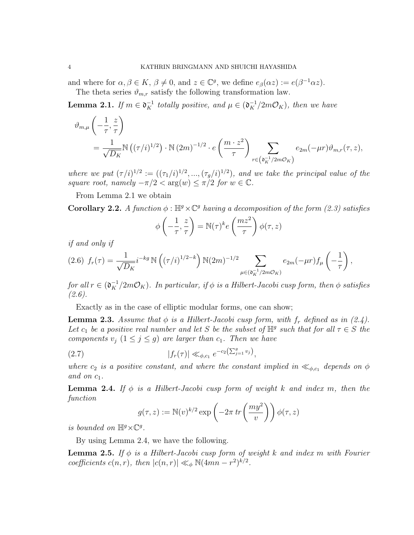and where for  $\alpha, \beta \in K$ ,  $\beta \neq 0$ , and  $z \in \mathbb{C}^g$ , we define  $e_{\beta}(\alpha z) := e(\beta^{-1}\alpha z)$ . The theta series  $\vartheta_{m,r}$  satisfy the following transformation law.

**Lemma 2.1.** If  $m \in \mathfrak{d}_K^{-1}$  totally positive, and  $\mu \in (\mathfrak{d}_K^{-1}/2m\mathcal{O}_K)$ , then we have

$$
\vartheta_{m,\mu}\left(-\frac{1}{\tau},\frac{z}{\tau}\right)
$$
\n
$$
=\frac{1}{\sqrt{D_K}}\mathbb{N}\left((\tau/i)^{1/2}\right)\cdot\mathbb{N}\left(2m\right)^{-1/2}\cdot e\left(\frac{m\cdot z^2}{\tau}\right)\sum_{r\in\left(\mathfrak{d}_{K}^{-1}/2m\mathcal{O}_{K}\right)}e_{2m}(-\mu r)\vartheta_{m,r}(\tau,z),
$$

where we put  $(\tau/i)^{1/2} := ((\tau_1/i)^{1/2}, ..., (\tau_g/i)^{1/2})$ , and we take the principal value of the square root, namely  $-\pi/2 < \arg(w) \leq \pi/2$  for  $w \in \mathbb{C}$ .

From Lemma 2.1 we obtain

**Corollary 2.2.** A function  $\phi$ :  $\mathbb{H}^g \times \mathbb{C}^g$  having a decomposition of the form (2.3) satisfies

$$
\phi\left(-\frac{1}{\tau}, \frac{z}{\tau}\right) = \mathbb{N}(\tau)^k e\left(\frac{mz^2}{\tau}\right) \phi(\tau, z)
$$

if and only if

$$
(2.6) f_r(\tau) = \frac{1}{\sqrt{D_K}} i^{-kg} \, \mathbb{N}\left((\tau/i)^{1/2-k}\right) \mathbb{N}(2m)^{-1/2} \sum_{\mu \in (\mathfrak{d}_K^{-1}/2m\mathcal{O}_K)} e_{2m}(-\mu r) f_\mu\left(-\frac{1}{\tau}\right),
$$

for all  $r \in (\mathfrak{d}_K^{-1}/2m\mathcal{O}_K)$ . In particular, if  $\phi$  is a Hilbert-Jacobi cusp form, then  $\phi$  satisfies (2.6).

Exactly as in the case of elliptic modular forms, one can show;

**Lemma 2.3.** Assume that  $\phi$  is a Hilbert-Jacobi cusp form, with  $f_r$  defined as in (2.4). Let  $c_1$  be a positive real number and let S be the subset of  $\mathbb{H}^g$  such that for all  $\tau \in S$  the components  $v_j$   $(1 \leq j \leq g)$  are larger than  $c_1$ . Then we have

(2.7) 
$$
|f_r(\tau)| \ll_{\phi,c_1} e^{-c_2(\sum_{j=1}^g v_j)},
$$

where  $c_2$  is a positive constant, and where the constant implied in  $\ll_{\phi,c_1}$  depends on  $\phi$ and on  $c_1$ .

**Lemma 2.4.** If  $\phi$  is a Hilbert-Jacobi cusp form of weight k and index m, then the function

$$
g(\tau, z) := \mathbb{N}(v)^{k/2} \exp\left(-2\pi \operatorname{tr}\left(\frac{my^2}{v}\right)\right) \phi(\tau, z)
$$

is bounded on  $\mathbb{H}^g \times \mathbb{C}^g$ .

By using Lemma 2.4, we have the following.

**Lemma 2.5.** If  $\phi$  is a Hilbert-Jacobi cusp form of weight k and index m with Fourier coefficients  $c(n, r)$ , then  $|c(n, r)| \ll_{\phi} \mathbb{N}(4mn - r^2)^{k/2}$ .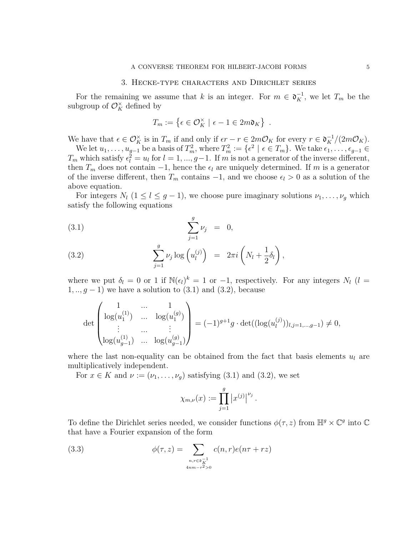### 3. Hecke-type characters and Dirichlet series

For the remaining we assume that k is an integer. For  $m \in \mathfrak{d}_K^{-1}$ , we let  $T_m$  be the subgroup of  $\mathcal{O}_K^{\times}$  defined by

$$
T_m := \{ \epsilon \in \mathcal{O}_K^{\times} \mid \epsilon - 1 \in 2m \mathfrak{d}_K \} .
$$

We have that  $\epsilon \in \mathcal{O}_K^{\times}$  is in  $T_m$  if and only if  $\epsilon r - r \in 2m\mathcal{O}_K$  for every  $r \in \mathfrak{d}_K^{-1}/(2m\mathcal{O}_K)$ .

We let  $u_1, \ldots, u_{g-1}$  be a basis of  $T_m^2$ , where  $T_m^2 := \{\epsilon^2 \mid \epsilon \in T_m\}$ . We take  $\epsilon_1, \ldots, \epsilon_{g-1} \in$  $T_m$  which satisfy  $\epsilon_l^2 = u_l$  for  $l = 1, ..., g-1$ . If m is not a generator of the inverse different, then  $T_m$  does not contain -1, hence the  $\epsilon_l$  are uniquely determined. If m is a generator of the inverse different, then  $T_m$  contains  $-1$ , and we choose  $\epsilon_l > 0$  as a solution of the above equation.

For integers  $N_l$   $(1 \leq l \leq g-1)$ , we choose pure imaginary solutions  $\nu_1, \ldots, \nu_g$  which satisfy the following equations

(3.1) 
$$
\sum_{j=1}^{g} \nu_j = 0,
$$

(3.2) 
$$
\sum_{j=1}^{g} \nu_j \log \left( u_l^{(j)} \right) = 2\pi i \left( N_l + \frac{1}{2} \delta_l \right),
$$

where we put  $\delta_l = 0$  or 1 if  $\mathbb{N}(\epsilon_l)^k = 1$  or  $-1$ , respectively. For any integers  $N_l$  ( $l =$  $1, ..., g - 1$ ) we have a solution to  $(3.1)$  and  $(3.2)$ , because

$$
\det \begin{pmatrix} 1 & \dots & 1 \\ \log(u_1^{(1)}) & \dots & \log(u_1^{(g)}) \\ \vdots & \dots & \vdots \\ \log(u_{g-1}^{(1)}) & \dots & \log(u_{g-1}^{(g)}) \end{pmatrix} = (-1)^{g+1} g \cdot \det((\log(u_i^{(j)}))_{i,j=1,\dots,g-1}) \neq 0,
$$

where the last non-equality can be obtained from the fact that basis elements  $u_l$  are multiplicatively independent.

For  $x \in K$  and  $\nu := (\nu_1, \ldots, \nu_q)$  satisfying (3.1) and (3.2), we set

$$
\chi_{m,\nu}(x) := \prod_{j=1}^g |x^{(j)}|^{\nu_j}.
$$

To define the Dirichlet series needed, we consider functions  $\phi(\tau, z)$  from  $\mathbb{H}^g \times \mathbb{C}^g$  into  $\mathbb{C}$ that have a Fourier expansion of the form

(3.3) 
$$
\phi(\tau,z) = \sum_{\substack{n,r \in \mathfrak{d}_{K}^{-1} \\ 4nm - r^2 > 0}} c(n,r)e(n\tau + rz)
$$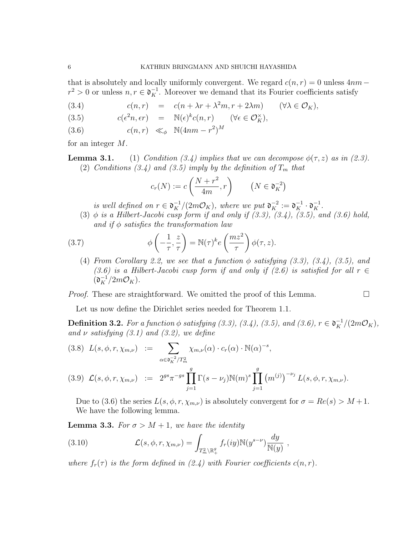that is absolutely and locally uniformly convergent. We regard  $c(n, r) = 0$  unless  $4nm$  $r^2 > 0$  or unless  $n, r \in \mathfrak{d}_K^{-1}$ . Moreover we demand that its Fourier coefficients satisfy

(3.4) 
$$
c(n,r) = c(n + \lambda r + \lambda^2 m, r + 2\lambda m) \quad (\forall \lambda \in \mathcal{O}_K),
$$

(3.5) 
$$
c(\epsilon^2 n, \epsilon r) = \mathbb{N}(\epsilon)^k c(n, r) \quad (\forall \epsilon \in \mathcal{O}_K^{\times}),
$$

$$
(3.6) \t\t c(n,r) \ll_{\phi} \mathbb{N}(4nm - r^2)^M
$$

for an integer M.

**Lemma 3.1.** (1) Condition (3.4) implies that we can decompose  $\phi(\tau, z)$  as in (2.3). (2) Conditions (3.4) and (3.5) imply by the definition of  $T_m$  that

$$
c_r(N) := c\left(\frac{N+r^2}{4m}, r\right) \qquad \left(N \in \mathfrak{d}_K^{-2}\right)
$$

is well defined on  $r \in \mathfrak{d}_{K}^{-1}/(2m\mathcal{O}_{K})$ , where we put  $\mathfrak{d}_{K}^{-2} := \mathfrak{d}_{K}^{-1} \cdot \mathfrak{d}_{K}^{-1}$ .

(3)  $\phi$  is a Hilbert-Jacobi cusp form if and only if  $(3.3)$ ,  $(3.4)$ ,  $(3.5)$ , and  $(3.6)$  hold, and if  $\phi$  satisfies the transformation law

(3.7) 
$$
\phi\left(-\frac{1}{\tau}, \frac{z}{\tau}\right) = \mathbb{N}(\tau)^k e\left(\frac{mz^2}{\tau}\right) \phi(\tau, z).
$$

(4) From Corollary 2.2, we see that a function  $\phi$  satisfying (3.3), (3.4), (3.5), and (3.6) is a Hilbert-Jacobi cusp form if and only if (2.6) is satisfied for all  $r \in$  $(\mathfrak{d}_{K}^{-1}/2m\mathcal{O}_{K}).$ 

*Proof.* These are straightforward. We omitted the proof of this Lemma.  $\Box$ 

Let us now define the Dirichlet series needed for Theorem 1.1.

**Definition 3.2.** For a function  $\phi$  satisfying (3.3), (3.4), (3.5), and (3.6),  $r \in \mathfrak{d}_{K}^{-1}/(2m\mathcal{O}_{K})$ , and  $\nu$  satisfying (3.1) and (3.2), we define

$$
(3.8) \ L(s, \phi, r, \chi_{m,\nu}) := \sum_{\alpha \in \mathfrak{d}_K^{-2}/T_m^2} \chi_{m,\nu}(\alpha) \cdot c_r(\alpha) \cdot \mathbb{N}(\alpha)^{-s},
$$
  

$$
(3.9) \ \mathcal{L}(s, \phi, r, \chi_{m,\nu}) := 2^{gs} \pi^{-gs} \prod_{j=1}^g \Gamma(s - \nu_j) \mathbb{N}(m)^s \prod_{j=1}^g (m^{(j)})^{-\nu_j} L(s, \phi, r, \chi_{m,\nu}).
$$

Due to (3.6) the series  $L(s, \phi, r, \chi_{m,\nu})$  is absolutely convergent for  $\sigma = Re(s) > M + 1$ . We have the following lemma.

 $j=1$ 

**Lemma 3.3.** For  $\sigma > M + 1$ , we have the identity

(3.10) 
$$
\mathcal{L}(s,\phi,r,\chi_{m,\nu}) = \int_{T_m^2 \backslash \mathbb{R}_+^g} f_r(iy) \mathbb{N}(y^{s-\nu}) \frac{dy}{\mathbb{N}(y)},
$$

where  $f_r(\tau)$  is the form defined in (2.4) with Fourier coefficients  $c(n, r)$ .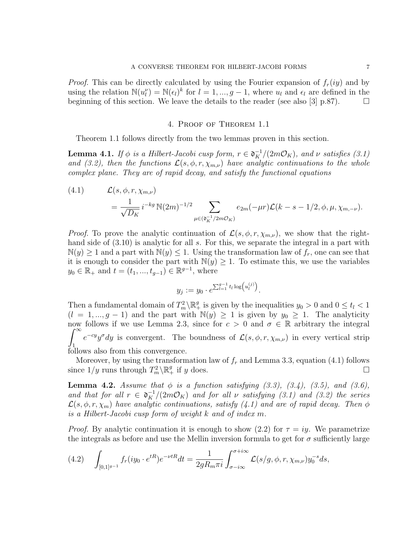*Proof.* This can be directly calculated by using the Fourier expansion of  $f_r(iy)$  and by using the relation  $\mathbb{N}(u_l^{\nu}) = \mathbb{N}(\epsilon_l)^k$  for  $l = 1, ..., g-1$ , where  $u_l$  and  $\epsilon_l$  are defined in the beginning of this section. We leave the details to the reader (see also [3] p.87).  $\Box$ 

## 4. Proof of Theorem 1.1

Theorem 1.1 follows directly from the two lemmas proven in this section.

**Lemma 4.1.** If  $\phi$  is a Hilbert-Jacobi cusp form,  $r \in \mathfrak{d}_K^{-1}/(2m\mathcal{O}_K)$ , and  $\nu$  satisfies (3.1) and (3.2), then the functions  $\mathcal{L}(s, \phi, r, \chi_{m,\nu})$  have analytic continuations to the whole complex plane. They are of rapid decay, and satisfy the functional equations

(4.1) 
$$
\mathcal{L}(s, \phi, r, \chi_{m,\nu}) = \frac{1}{\sqrt{D_K}} i^{-kg} \mathbb{N}(2m)^{-1/2} \sum_{\mu \in (\mathfrak{d}_K^{-1}/2m\mathcal{O}_K)} e_{2m}(-\mu r) \mathcal{L}(k - s - 1/2, \phi, \mu, \chi_{m,-\nu}).
$$

*Proof.* To prove the analytic continuation of  $\mathcal{L}(s, \phi, r, \chi_{m,\nu})$ , we show that the righthand side of  $(3.10)$  is analytic for all s. For this, we separate the integral in a part with  $\mathbb{N}(y) \geq 1$  and a part with  $\mathbb{N}(y) \leq 1$ . Using the transformation law of  $f_r$ , one can see that it is enough to consider the part with  $\mathbb{N}(y) \geq 1$ . To estimate this, we use the variables  $y_0 \in \mathbb{R}_+$  and  $t = (t_1, ..., t_{g-1}) \in \mathbb{R}^{g-1}$ , where

$$
y_j := y_0 \cdot e^{\sum_{l=1}^{g-1} t_l \log \left(u_l^{(j)}\right)}.
$$

Then a fundamental domain of  $T_m^2 \backslash \mathbb{R}^g_+$  is given by the inequalities  $y_0 > 0$  and  $0 \le t_l < 1$  $(l = 1, ..., g - 1)$  and the part with  $\mathbb{N}(y) \geq 1$  is given by  $y_0 \geq 1$ . The analyticity now follows if we use Lemma 2.3, since for  $c > 0$  and  $\sigma \in \mathbb{R}$  arbitrary the integral  $\int^{\infty}$ 1  $e^{-cy}y^{\sigma}dy$  is convergent. The boundness of  $\mathcal{L}(s,\phi,r,\chi_{m,\nu})$  in every vertical strip follows also from this convergence.

Moreover, by using the transformation law of  $f_r$  and Lemma 3.3, equation (4.1) follows since  $1/y$  runs through  $T_m^2 \setminus \mathbb{R}^g_+$  if y does.

**Lemma 4.2.** Assume that  $\phi$  is a function satisfying (3.3), (3.4), (3.5), and (3.6), and that for all  $r \in \mathfrak{d}_{K}^{-1}/(2m\mathcal{O}_{K})$  and for all  $\nu$  satisfying (3.1) and (3.2) the series  $\mathcal{L}(s, \phi, r, \chi_m)$  have analytic continuations, satisfy  $(4.1)$  and are of rapid decay. Then  $\phi$ is a Hilbert-Jacobi cusp form of weight k and of index m.

*Proof.* By analytic continuation it is enough to show (2.2) for  $\tau = iy$ . We parametrize the integrals as before and use the Mellin inversion formula to get for  $\sigma$  sufficiently large

(4.2) 
$$
\int_{[0,1]^{g-1}} f_r(iy_0 \cdot e^{tR}) e^{-\nu tR} dt = \frac{1}{2gR_m \pi i} \int_{\sigma - i\infty}^{\sigma + i\infty} \mathcal{L}(s/g, \phi, r, \chi_{m,\nu}) y_0^{-s} ds,
$$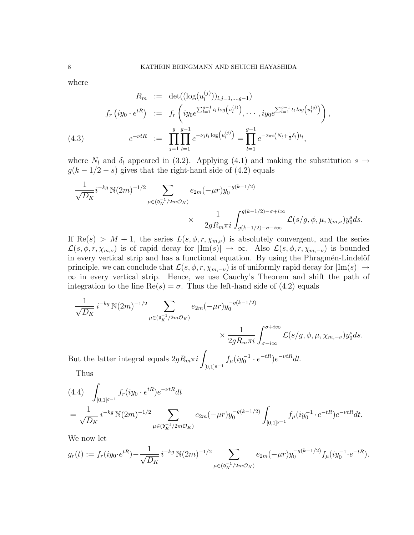where

$$
R_m := \det((\log(u_l^{(j)}))_{l,j=1,\dots,g-1})
$$
  

$$
f_r(iy_0 \cdot e^{tR}) := f_r\left(iy_0e^{\sum_{l=1}^{g-1}t_l\log(u_l^{(1)})}, \dots, iy_0e^{\sum_{l=1}^{g-1}t_l\log(u_l^{(g)})}\right),
$$
  

$$
e^{-\nu tR} := \prod_{j=1}^{g} \prod_{l=1}^{g-1} e^{-\nu_j t_l \log(u_l^{(j)})} = \prod_{l=1}^{g-1} e^{-2\pi i \left(N_l + \frac{1}{2}\delta_l\right)t_l},
$$

where  $N_l$  and  $\delta_l$  appeared in (3.2). Applying (4.1) and making the substitution  $s \to$  $g(k - 1/2 - s)$  gives that the right-hand side of (4.2) equals

$$
\frac{1}{\sqrt{D_K}} i^{-kg} \, \mathbb{N}(2m)^{-1/2} \sum_{\mu \in (\mathfrak{d}_K^{-1}/2m\mathcal{O}_K)} e_{2m}(-\mu r) y_0^{-g(k-1/2)}
$$
\n
$$
\times \quad \frac{1}{2gR_m \pi i} \int_{g(k-1/2)-\sigma - i\infty}^{g(k-1/2)-\sigma + i\infty} \mathcal{L}(s/g, \phi, \mu, \chi_{m,\nu}) y_0^s ds.
$$

If  $\text{Re}(s) > M + 1$ , the series  $L(s, \phi, r, \chi_{m,\nu})$  is absolutely convergent, and the series  $\mathcal{L}(s,\phi,r,\chi_{m,\nu})$  is of rapid decay for  $|\text{Im}(s)| \to \infty$ . Also  $\mathcal{L}(s,\phi,r,\chi_{m,-\nu})$  is bounded in every vertical strip and has a functional equation. By using the Phragmén-Lindelöf principle, we can conclude that  $\mathcal{L}(s, \phi, r, \chi_{m,-\nu})$  is of uniformly rapid decay for  $|\text{Im}(s)| \to$ ∞ in every vertical strip. Hence, we use Cauchy's Theorem and shift the path of integration to the line  $\text{Re}(s) = \sigma$ . Thus the left-hand side of (4.2) equals

$$
\frac{1}{\sqrt{D_K}} i^{-kg} \mathbb{N}(2m)^{-1/2} \sum_{\mu \in (\mathfrak{d}_K^{-1}/2m\mathcal{O}_K)} e_{2m}(-\mu r) y_0^{-g(k-1/2)}
$$
\n
$$
\times \frac{1}{2gR_m \pi i} \int_{\sigma - i\infty}^{\sigma + i\infty} \mathcal{L}(s/g, \phi, \mu, \chi_{m, -\nu}) y_0^s ds.
$$
\nBut the latter integral equals  $2gR_m \pi i \int_{[0,1]^{g-1}} f_{\mu}(iy_0^{-1} \cdot e^{-tR}) e^{-\nu tR} dt$ .

Thus

$$
(4.4) \int_{[0,1]^{g-1}} f_r(iy_0 \cdot e^{tR}) e^{-\nu tR} dt
$$
  
= 
$$
\frac{1}{\sqrt{D_K}} i^{-kg} \mathbb{N}(2m)^{-1/2} \sum_{\mu \in (\mathfrak{d}_K^{-1}/2m\mathcal{O}_K)} e_{2m}(-\mu r) y_0^{-g(k-1/2)} \int_{[0,1]^{g-1}} f_\mu(iy_0^{-1} \cdot e^{-tR}) e^{-\nu tR} dt.
$$

We now let

$$
g_r(t) := f_r(iy_0 \cdot e^{tR}) - \frac{1}{\sqrt{D_K}} i^{-kg} \mathbb{N}(2m)^{-1/2} \sum_{\mu \in (\mathfrak{d}_K^{-1}/2m\mathcal{O}_K)} e_{2m}(-\mu r) y_0^{-g(k-1/2)} f_\mu(iy_0^{-1} \cdot e^{-tR}).
$$